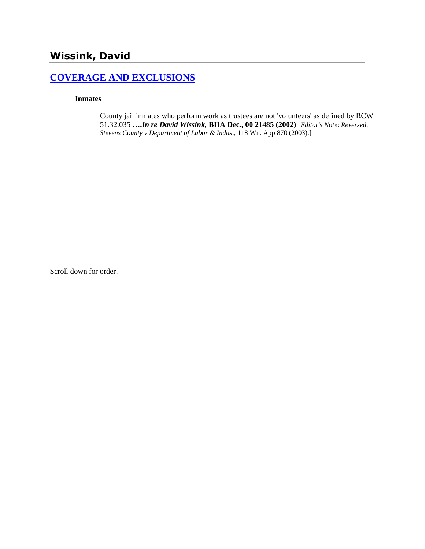# **Wissink, David**

# **[COVERAGE AND EXCLUSIONS](http://www.biia.wa.gov/SDSubjectIndex.html#COVERAGE_AND_EXCLUSIONS)**

#### **Inmates**

County jail inmates who perform work as trustees are not 'volunteers' as defined by RCW 51.32.035 **….***In re David Wissink,* **BIIA Dec., 00 21485 (2002)** [*Editor's Note*: *Reversed, Stevens County v Department of Labor & Indus*., 118 Wn. App 870 (2003).]

Scroll down for order.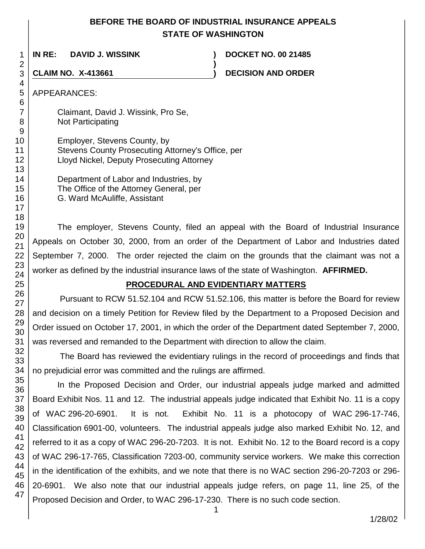# **BEFORE THE BOARD OF INDUSTRIAL INSURANCE APPEALS STATE OF WASHINGTON**

**)**

**IN RE: DAVID J. WISSINK ) DOCKET NO. 00 21485**

**CLAIM NO. X-413661 ) DECISION AND ORDER** 

# APPEARANCES:

Claimant, David J. Wissink, Pro Se, Not Participating

Employer, Stevens County, by Stevens County Prosecuting Attorney's Office, per Lloyd Nickel, Deputy Prosecuting Attorney

> Department of Labor and Industries, by The Office of the Attorney General, per G. Ward McAuliffe, Assistant

The employer, Stevens County, filed an appeal with the Board of Industrial Insurance Appeals on October 30, 2000, from an order of the Department of Labor and Industries dated September 7, 2000. The order rejected the claim on the grounds that the claimant was not a worker as defined by the industrial insurance laws of the state of Washington. **AFFIRMED.**

# **PROCEDURAL AND EVIDENTIARY MATTERS**

Pursuant to RCW 51.52.104 and RCW 51.52.106, this matter is before the Board for review and decision on a timely Petition for Review filed by the Department to a Proposed Decision and Order issued on October 17, 2001, in which the order of the Department dated September 7, 2000, was reversed and remanded to the Department with direction to allow the claim.

The Board has reviewed the evidentiary rulings in the record of proceedings and finds that no prejudicial error was committed and the rulings are affirmed.

In the Proposed Decision and Order, our industrial appeals judge marked and admitted Board Exhibit Nos. 11 and 12. The industrial appeals judge indicated that Exhibit No. 11 is a copy of WAC 296-20-6901. It is not. Exhibit No. 11 is a photocopy of WAC 296-17-746, Classification 6901-00, volunteers. The industrial appeals judge also marked Exhibit No. 12, and referred to it as a copy of WAC 296-20-7203. It is not. Exhibit No. 12 to the Board record is a copy of WAC 296-17-765, Classification 7203-00, community service workers. We make this correction in the identification of the exhibits, and we note that there is no WAC section 296-20-7203 or 296- 20-6901. We also note that our industrial appeals judge refers, on page 11, line 25, of the Proposed Decision and Order, to WAC 296-17-230. There is no such code section.

1/28/02

47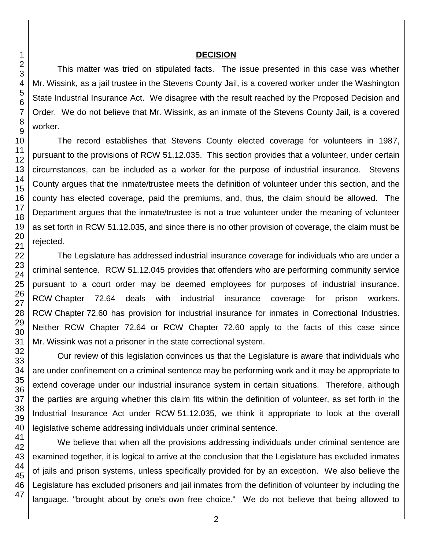#### **DECISION**

This matter was tried on stipulated facts. The issue presented in this case was whether Mr. Wissink, as a jail trustee in the Stevens County Jail, is a covered worker under the Washington State Industrial Insurance Act. We disagree with the result reached by the Proposed Decision and Order. We do not believe that Mr. Wissink, as an inmate of the Stevens County Jail, is a covered worker.

The record establishes that Stevens County elected coverage for volunteers in 1987, pursuant to the provisions of RCW 51.12.035. This section provides that a volunteer, under certain circumstances, can be included as a worker for the purpose of industrial insurance. Stevens County argues that the inmate/trustee meets the definition of volunteer under this section, and the county has elected coverage, paid the premiums, and, thus, the claim should be allowed. The Department argues that the inmate/trustee is not a true volunteer under the meaning of volunteer as set forth in RCW 51.12.035, and since there is no other provision of coverage, the claim must be rejected.

The Legislature has addressed industrial insurance coverage for individuals who are under a criminal sentence. RCW 51.12.045 provides that offenders who are performing community service pursuant to a court order may be deemed employees for purposes of industrial insurance. RCW Chapter 72.64 deals with industrial insurance coverage for prison workers. RCW Chapter 72.60 has provision for industrial insurance for inmates in Correctional Industries. Neither RCW Chapter 72.64 or RCW Chapter 72.60 apply to the facts of this case since Mr. Wissink was not a prisoner in the state correctional system.

Our review of this legislation convinces us that the Legislature is aware that individuals who are under confinement on a criminal sentence may be performing work and it may be appropriate to extend coverage under our industrial insurance system in certain situations. Therefore, although the parties are arguing whether this claim fits within the definition of volunteer, as set forth in the Industrial Insurance Act under RCW 51.12.035, we think it appropriate to look at the overall legislative scheme addressing individuals under criminal sentence.

We believe that when all the provisions addressing individuals under criminal sentence are examined together, it is logical to arrive at the conclusion that the Legislature has excluded inmates of jails and prison systems, unless specifically provided for by an exception. We also believe the Legislature has excluded prisoners and jail inmates from the definition of volunteer by including the language, "brought about by one's own free choice." We do not believe that being allowed to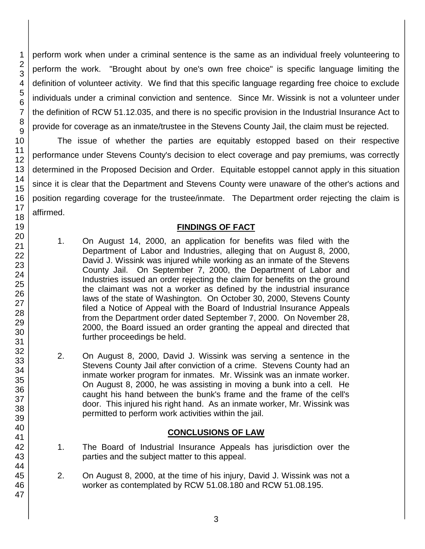perform work when under a criminal sentence is the same as an individual freely volunteering to perform the work. "Brought about by one's own free choice" is specific language limiting the definition of volunteer activity. We find that this specific language regarding free choice to exclude individuals under a criminal conviction and sentence. Since Mr. Wissink is not a volunteer under the definition of RCW 51.12.035, and there is no specific provision in the Industrial Insurance Act to provide for coverage as an inmate/trustee in the Stevens County Jail, the claim must be rejected.

The issue of whether the parties are equitably estopped based on their respective performance under Stevens County's decision to elect coverage and pay premiums, was correctly determined in the Proposed Decision and Order. Equitable estoppel cannot apply in this situation since it is clear that the Department and Stevens County were unaware of the other's actions and position regarding coverage for the trustee/inmate. The Department order rejecting the claim is affirmed.

## **FINDINGS OF FACT**

- 1. On August 14, 2000, an application for benefits was filed with the Department of Labor and Industries, alleging that on August 8, 2000, David J. Wissink was injured while working as an inmate of the Stevens County Jail. On September 7, 2000, the Department of Labor and Industries issued an order rejecting the claim for benefits on the ground the claimant was not a worker as defined by the industrial insurance laws of the state of Washington. On October 30, 2000, Stevens County filed a Notice of Appeal with the Board of Industrial Insurance Appeals from the Department order dated September 7, 2000. On November 28, 2000, the Board issued an order granting the appeal and directed that further proceedings be held.
- 2. On August 8, 2000, David J. Wissink was serving a sentence in the Stevens County Jail after conviction of a crime. Stevens County had an inmate worker program for inmates. Mr. Wissink was an inmate worker. On August 8, 2000, he was assisting in moving a bunk into a cell. He caught his hand between the bunk's frame and the frame of the cell's door. This injured his right hand. As an inmate worker, Mr. Wissink was permitted to perform work activities within the jail.

## **CONCLUSIONS OF LAW**

- 1. The Board of Industrial Insurance Appeals has jurisdiction over the parties and the subject matter to this appeal.
- 2. On August 8, 2000, at the time of his injury, David J. Wissink was not a worker as contemplated by RCW 51.08.180 and RCW 51.08.195.